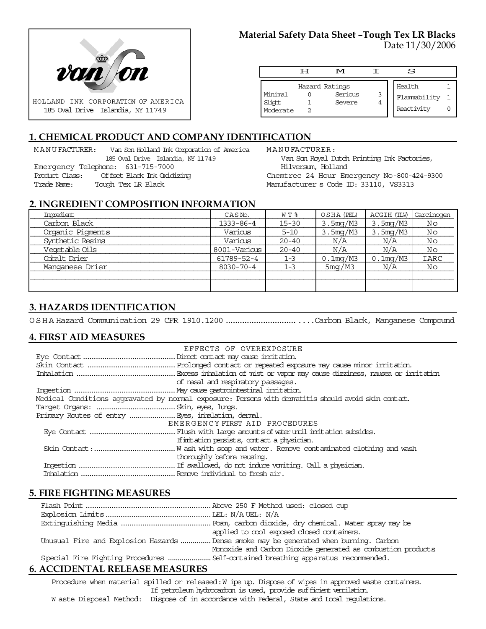

#### **Material Safety Data Sheet –Tough Tex LR Blacks** Date 11/30/2006

|                               | ਸ | M                                   |        | s                                    |  |
|-------------------------------|---|-------------------------------------|--------|--------------------------------------|--|
| Minimal<br>Slight<br>Moderate |   | Hazard Ratings<br>Serious<br>Severe | 3<br>4 | Health<br>Flammability<br>Reactivity |  |

# **1. CHEMICAL PRODUCT AND COMPANY IDENTIFICATION**

MANUFACTURER: Van Son Holland Ink Corporation of America 185 Oval Drive Islandia, NY 11749 Emergency Telephone: 631-715-7000 Product Class: Offset Black Ink Oxidizing Trade Name: Tough Tex LR Black

MANUFACTURER: Van Son Royal Dutch Printing Ink Factories, Hilversum, Holland Chemtrec 24 Hour Emergency No-800-424-9300 Manufacturer s Code ID: 33110, VS3313

#### **2. INGREDIENT COMPOSITION INFORMATION**

| Imredient        | CASNo.          | W T %     | OSHA (PEL)  | ACGIH (TLV) | Carcinogen |
|------------------|-----------------|-----------|-------------|-------------|------------|
| Carbon Black     | 1333-86-4       | $15 - 30$ | 3.5mg/M3    | 3.5mg/M3    | Νo         |
| Organic Pigments | Various         | $5 - 10$  | 3.5mg/M3    | 3.5mg/M3    | Νo         |
| Synthetic Resins | Various         | $20 - 40$ | N/A         | N/A         | Νo         |
| Vegetable Oils   | 8001-Various    | $20 - 40$ | N/A         | N/A         | Νo         |
| Cobalt Drier     | 61789-52-4      | $1 - 3$   | $0.1$ mg/M3 | $0.1$ mg/M3 | IARC       |
| Manganese Drier  | $8030 - 70 - 4$ | $1 - 3$   | 5mg/M3      | N/A         | Νo         |
|                  |                 |           |             |             |            |
|                  |                 |           |             |             |            |

# **3. HAZARDS IDENTIFICATION**

OSHA Hazard Communication 29 CFR 1910.1200..................................Carbon Black, Manganese Compound

# **4. FIRST AID MEASURES**

| EFFECTS OF OVEREXPOSURE                                                                             |  |  |  |  |
|-----------------------------------------------------------------------------------------------------|--|--|--|--|
|                                                                                                     |  |  |  |  |
|                                                                                                     |  |  |  |  |
|                                                                                                     |  |  |  |  |
| of nasal and respiratory passages.                                                                  |  |  |  |  |
|                                                                                                     |  |  |  |  |
| Medical Conditions aggravated by normal exposure: Persons with dematitis should avoid skin contact. |  |  |  |  |
|                                                                                                     |  |  |  |  |
| Primary Routes of entry  Eyes, inhalation, demal.                                                   |  |  |  |  |
| EMERGENCY FIRST AID PROCEDURES                                                                      |  |  |  |  |
|                                                                                                     |  |  |  |  |
| If initiation persists, contact a physician.                                                        |  |  |  |  |
|                                                                                                     |  |  |  |  |
| thoroughly before reusing.                                                                          |  |  |  |  |
|                                                                                                     |  |  |  |  |
|                                                                                                     |  |  |  |  |

# **5. FIRE FIGHTING MEASURES**

|                                                                                       | applied to cool exposed closed containers.                   |  |
|---------------------------------------------------------------------------------------|--------------------------------------------------------------|--|
| Unusual Fire and Explosion Hazards  Dense smoke may be generated when burning. Carbon |                                                              |  |
|                                                                                       | Monoxide and Carbon Dioxide generated as combustion products |  |
|                                                                                       |                                                              |  |
|                                                                                       |                                                              |  |

# **6. ACCIDENTAL RELEASE MEASURES**

Procedure when material spilled or released: W ipe up. Dispose of wipes in approved waste containers. If petroleum hydrocarbon is used, provide sufficient ventilation. W aste Disposal Method: Dispose of in accordance with Federal, State and Local regulations.